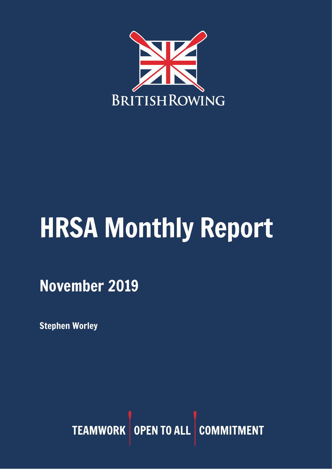

# HRSA Monthly Report

November 2019

Stephen Worley

TEAMWORK OPEN TO ALL COMMITMENT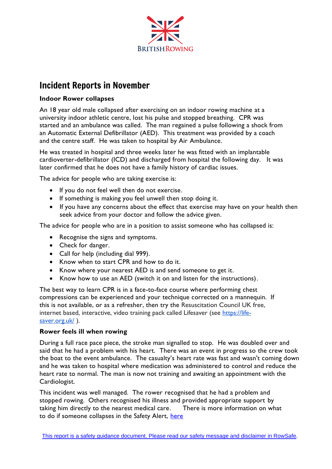

# Incident Reports in November

## **Indoor Rower collapses**

An 18 year old male collapsed after exercising on an indoor rowing machine at a university indoor athletic centre, lost his pulse and stopped breathing. CPR was started and an ambulance was called. The man regained a pulse following a shock from an Automatic External Defibrillator (AED). This treatment was provided by a coach and the centre staff. He was taken to hospital by Air Ambulance.

He was treated in hospital and three weeks later he was fitted with an implantable cardioverter-defibrillator (ICD) and discharged from hospital the following day. It was later confirmed that he does not have a family history of cardiac issues.

The advice for people who are taking exercise is:

- If you do not feel well then do not exercise.
- If something is making you feel unwell then stop doing it.
- If you have any concerns about the effect that exercise may have on your health then seek advice from your doctor and follow the advice given.

The advice for people who are in a position to assist someone who has collapsed is:

- Recognise the signs and symptoms.
- Check for danger.
- Call for help (including dial 999).
- Know when to start CPR and how to do it.
- Know where your nearest AED is and send someone to get it.
- Know how to use an AED (switch it on and listen for the instructions).

The best way to learn CPR is in a face-to-face course where performing chest compressions can be experienced and your technique corrected on a mannequin. If this is not available, or as a refresher, then try the Resuscitation Council UK free, internet based, interactive, video training pack called Lifesaver (see [https://life](https://life-saver.org.uk/)[saver.org.uk/](https://life-saver.org.uk/)).

#### **Rower feels ill when rowing**

During a full race pace piece, the stroke man signalled to stop. He was doubled over and said that he had a problem with his heart. There was an event in progress so the crew took the boat to the event ambulance. The casualty's heart rate was fast and wasn't coming down and he was taken to hospital where medication was administered to control and reduce the heart rate to normal. The man is now not training and awaiting an appointment with the Cardiologist.

This incident was well managed. The rower recognised that he had a problem and stopped rowing. Others recognised his illness and provided appropriate support by taking him directly to the nearest medical care. There is more information on what to do if someone collapses in the Safety Alert, [here](https://www.britishrowing.org/wp-content/uploads/2019/02/Safety-Alert-What-to-do-if-a-rower-collapses-in-a-boat.pdf)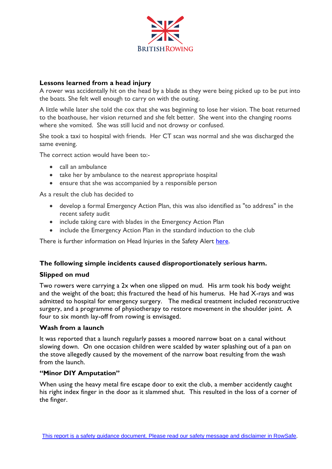

#### **Lessons learned from a head injury**

A rower was accidentally hit on the head by a blade as they were being picked up to be put into the boats. She felt well enough to carry on with the outing.

A little while later she told the cox that she was beginning to lose her vision. The boat returned to the boathouse, her vision returned and she felt better. She went into the changing rooms where she vomited. She was still lucid and not drowsy or confused.

She took a taxi to hospital with friends. Her CT scan was normal and she was discharged the same evening.

The correct action would have been to:-

- call an ambulance
- take her by ambulance to the nearest appropriate hospital
- ensure that she was accompanied by a responsible person

As a result the club has decided to

- develop a formal Emergency Action Plan, this was also identified as "to address" in the recent safety audit
- include taking care with blades in the Emergency Action Plan
- include the Emergency Action Plan in the standard induction to the club

There is further information on Head Injuries in the Safety Alert [here.](https://www.britishrowing.org/wp-content/uploads/2018/10/Safety-Alert-Head-Injuries-2018.pdf)

#### **The following simple incidents caused disproportionately serious harm.**

#### **Slipped on mud**

Two rowers were carrying a 2x when one slipped on mud. His arm took his body weight and the weight of the boat; this fractured the head of his humerus. He had X-rays and was admitted to hospital for emergency surgery. The medical treatment included reconstructive surgery, and a programme of physiotherapy to restore movement in the shoulder joint. A four to six month lay-off from rowing is envisaged.

#### **Wash from a launch**

It was reported that a launch regularly passes a moored narrow boat on a canal without slowing down. On one occasion children were scalded by water splashing out of a pan on the stove allegedly caused by the movement of the narrow boat resulting from the wash from the launch.

#### **"Minor DIY Amputation"**

When using the heavy metal fire escape door to exit the club, a member accidently caught his right index finger in the door as it slammed shut. This resulted in the loss of a corner of the finger.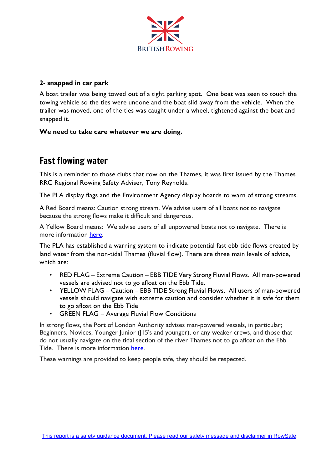

## **2- snapped in car park**

A boat trailer was being towed out of a tight parking spot. One boat was seen to touch the towing vehicle so the ties were undone and the boat slid away from the vehicle. When the trailer was moved, one of the ties was caught under a wheel, tightened against the boat and snapped it.

#### **We need to take care whatever we are doing.**

# Fast flowing water

This is a reminder to those clubs that row on the Thames, it was first issued by the Thames RRC Regional Rowing Safety Adviser, Tony Reynolds.

The PLA display flags and the Environment Agency display boards to warn of strong streams.

A Red Board means: Caution strong stream. We advise users of all boats not to navigate because the strong flows make it difficult and dangerous.

A Yellow Board means: We advise users of all unpowered boats not to navigate. There is more information [here.](http://riverconditions.environment-agency.gov.uk/)

The PLA has established a warning system to indicate potential fast ebb tide flows created by land water from the non-tidal Thames (fluvial flow). There are three main levels of advice, which are:

- RED FLAG Extreme Caution EBB TIDE Very Strong Fluvial Flows. All man-powered vessels are advised not to go afloat on the Ebb Tide.
- YELLOW FLAG Caution EBB TIDE Strong Fluvial Flows. All users of man-powered vessels should navigate with extreme caution and consider whether it is safe for them to go afloat on the Ebb Tide
- GREEN FLAG Average Fluvial Flow Conditions

In strong flows, the Port of London Authority advises man-powered vessels, in particular; Beginners, Novices, Younger Junior (J15's and younger), or any weaker crews, and those that do not usually navigate on the tidal section of the river Thames not to go afloat on the Ebb Tide. There is more information [here.](http://www.pla.co.uk/)

These warnings are provided to keep people safe, they should be respected.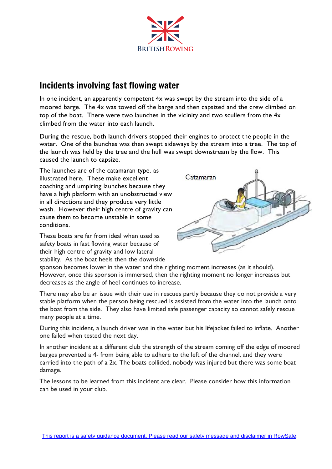

# Incidents involving fast flowing water

In one incident, an apparently competent 4x was swept by the stream into the side of a moored barge. The 4x was towed off the barge and then capsized and the crew climbed on top of the boat. There were two launches in the vicinity and two scullers from the 4x climbed from the water into each launch.

During the rescue, both launch drivers stopped their engines to protect the people in the water. One of the launches was then swept sideways by the stream into a tree. The top of the launch was held by the tree and the hull was swept downstream by the flow. This caused the launch to capsize.

The launches are of the catamaran type, as illustrated here. These make excellent coaching and umpiring launches because they have a high platform with an unobstructed view in all directions and they produce very little wash. However their high centre of gravity can cause them to become unstable in some conditions.

These boats are far from ideal when used as safety boats in fast flowing water because of their high centre of gravity and low lateral stability. As the boat heels then the downside



sponson becomes lower in the water and the righting moment increases (as it should). However, once this sponson is immersed, then the righting moment no longer increases but decreases as the angle of heel continues to increase.

There may also be an issue with their use in rescues partly because they do not provide a very stable platform when the person being rescued is assisted from the water into the launch onto the boat from the side. They also have limited safe passenger capacity so cannot safely rescue many people at a time.

During this incident, a launch driver was in the water but his lifejacket failed to inflate. Another one failed when tested the next day.

In another incident at a different club the strength of the stream coming off the edge of moored barges prevented a 4- from being able to adhere to the left of the channel, and they were carried into the path of a 2x. The boats collided, nobody was injured but there was some boat damage.

The lessons to be learned from this incident are clear. Please consider how this information can be used in your club.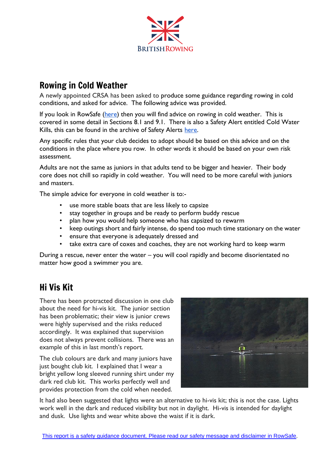

# Rowing in Cold Weather

A newly appointed CRSA has been asked to produce some guidance regarding rowing in cold conditions, and asked for advice. The following advice was provided.

If you look in RowSafe [\(here\)](https://www.britishrowing.org/wp-content/uploads/2019/04/Row-Safe-April-2019-online.pdf) then you will find advice on rowing in cold weather. This is covered in some detail in Sections 8.1 and 9.1. There is also a Safety Alert entitled Cold Water Kills, this can be found in the archive of Safety Alerts [here.](https://www.britishrowing.org/knowledge/safety/safety-alert-archive/)

Any specific rules that your club decides to adopt should be based on this advice and on the conditions in the place where you row. In other words it should be based on your own risk assessment.

Adults are not the same as juniors in that adults tend to be bigger and heavier. Their body core does not chill so rapidly in cold weather. You will need to be more careful with juniors and masters.

The simple advice for everyone in cold weather is to:-

- use more stable boats that are less likely to capsize
- stay together in groups and be ready to perform buddy rescue
- plan how you would help someone who has capsized to rewarm
- keep outings short and fairly intense, do spend too much time stationary on the water
- ensure that everyone is adequately dressed and
- take extra care of coxes and coaches, they are not working hard to keep warm

During a rescue, never enter the water – you will cool rapidly and become disorientated no matter how good a swimmer you are.

# Hi Vis Kit

There has been protracted discussion in one club about the need for hi-vis kit. The junior section has been problematic; their view is junior crews were highly supervised and the risks reduced accordingly. It was explained that supervision does not always prevent collisions. There was an example of this in last month's report.

The club colours are dark and many juniors have just bought club kit. I explained that I wear a bright yellow long sleeved running shirt under my dark red club kit. This works perfectly well and provides protection from the cold when needed.



It had also been suggested that lights were an alternative to hi-vis kit; this is not the case. Lights work well in the dark and reduced visibility but not in daylight. Hi-vis is intended for daylight and dusk. Use lights and wear white above the waist if it is dark.

This report is a safety guidance [document.](https://www.britishrowing.org/wp-content/uploads/2018/04/Row-Safe-April-2018.pdf) Please read our safety message and disclaimer in RowSafe.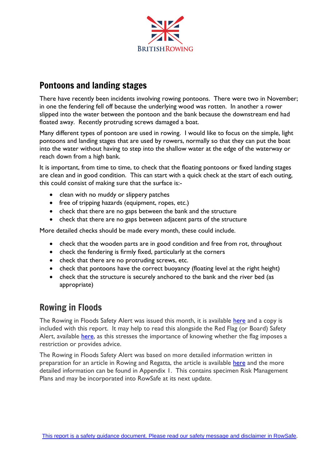

# Pontoons and landing stages

There have recently been incidents involving rowing pontoons. There were two in November; in one the fendering fell off because the underlying wood was rotten. In another a rower slipped into the water between the pontoon and the bank because the downstream end had floated away. Recently protruding screws damaged a boat.

Many different types of pontoon are used in rowing. I would like to focus on the simple, light pontoons and landing stages that are used by rowers, normally so that they can put the boat into the water without having to step into the shallow water at the edge of the waterway or reach down from a high bank.

It is important, from time to time, to check that the floating pontoons or fixed landing stages are clean and in good condition. This can start with a quick check at the start of each outing, this could consist of making sure that the surface is:-

- clean with no muddy or slippery patches
- free of tripping hazards (equipment, ropes, etc.)
- check that there are no gaps between the bank and the structure
- check that there are no gaps between adjacent parts of the structure

More detailed checks should be made every month, these could include.

- check that the wooden parts are in good condition and free from rot, throughout
- check the fendering is firmly fixed, particularly at the corners
- check that there are no protruding screws, etc.
- check that pontoons have the correct buoyancy (floating level at the right height)
- check that the structure is securely anchored to the bank and the river bed (as appropriate)

# Rowing in Floods

The Rowing in Floods Safety Alert was issued this month, it is available [here](https://www.britishrowing.org/wp-content/uploads/2019/11/Safety-Alert-Rowing-in-Floods-Nov-2019.pdf) and a copy is included with this report. It may help to read this alongside the Red Flag (or Board) Safety Alert, available [here,](https://www.britishrowing.org/wp-content/uploads/2015/09/Safety-Alert-Red-Flags.pdf) as this stresses the importance of knowing whether the flag imposes a restriction or provides advice.

The Rowing in Floods Safety Alert was based on more detailed information written in preparation for an article in Rowing and Regatta, the article is available [here](https://www.britishrowing.org/wp-content/uploads/2015/09/81_Flooding_2.pdf) and the more detailed information can be found in Appendix 1. This contains specimen Risk Management Plans and may be incorporated into RowSafe at its next update.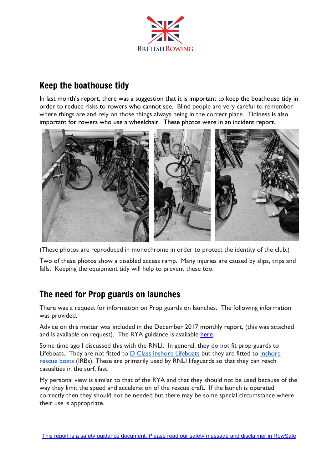

# Keep the boathouse tidy

In last month's report, there was a suggestion that it is important to keep the boathouse tidy in order to reduce risks to rowers who cannot see. Blind people are very careful to remember where things are and rely on those things always being in the correct place. Tidiness is also important for rowers who use a wheelchair. These photos were in an incident report.



(These photos are reproduced in monochrome in order to protect the identity of the club.)

Two of these photos show a disabled access ramp. Many injuries are caused by slips, trips and falls. Keeping the equipment tidy will help to prevent these too.

## The need for Prop guards on launches

There was a request for information on Prop guards on launches. The following information was provided.

Advice on this matter was included in the December 2017 monthly report, (this was attached and is available on request). The RYA guidance is available [here.](https://www.rya.org.uk/SiteCollectionDocuments/cruising/Web%20Documents/Regulations%20and%20Safety/Prop-Guards-Info-Sheet.pdf)

Some time ago I discussed this with the RNLI. In general, they do not fit prop guards to Lifeboats. They are not fitted to D Class Inshore [Lifeboats](https://rnli.org/what-we-do/lifeboats-and-stations/our-lifeboat-fleet/d-class-lifeboat) but they are fitted to [Inshore](https://rnli.org/what-we-do/lifeboats-and-stations/our-lifeboat-fleet/inshore-rescue-boat) [rescue](https://rnli.org/what-we-do/lifeboats-and-stations/our-lifeboat-fleet/inshore-rescue-boat) boats (IRBs). These are primarily used by RNLI lifeguards so that they can reach casualties in the surf, fast.

My personal view is similar to that of the RYA and that they should not be used because of the way they limit the speed and acceleration of the rescue craft. If the launch is operated correctly then they should not be needed but there may be some special circumstance where their use is appropriate.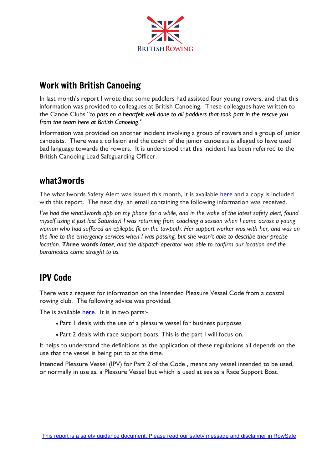

# Work with British Canoeing

In last month's report I wrote that some paddlers had assisted four young rowers, and that this information was provided to colleagues at British Canoeing. These colleagues have written to the Canoe Clubs "*to pass on a heartfelt well done to all paddlers that took part in the rescue you from the team here at British Canoeing*."

Information was provided on another incident involving a group of rowers and a group of junior canoeists. There was a collision and the coach of the junior canoeists is alleged to have used bad language towards the rowers. It is understood that this incident has been referred to the British Canoeing Lead Safeguarding Officer.

## what3words

The what3words Safety Alert was issued this month, it is available [here](https://www.britishrowing.org/wp-content/uploads/2019/11/Safety-Alert-what3words.pdf) and a copy is included with this report. The next day, an email containing the following information was received.

*I've had the what3words app on my phone for a while, and in the wake of the latest safety alert, found myself using it just last Saturday! I was returning from coaching a session when I came across a young woman who had suffered an epileptic fit on the towpath. Her support worker was with her, and was on the line to the emergency services when I was passing, but she wasn't able to describe their precise location. Three words later, and the dispatch operator was able to confirm our location and the paramedics came straight to us.*

# IPV Code

There was a request for information on the Intended Pleasure Vessel Code from a coastal rowing club. The following advice was provided.

The is available [here.](https://www.gov.uk/government/publications/intended-pleasure-vessels-ipv-code) It is in two parts:-

- Part 1 deals with the use of a pleasure vessel for business purposes
- Part 2 deals with race support boats. This is the part I will focus on.

It helps to understand the definitions as the application of these regulations all depends on the use that the vessel is being put to at the time.

Intended Pleasure Vessel (IPV) for Part 2 of the Code , means any vessel intended to be used, or normally in use as, a Pleasure Vessel but which is used at sea as a Race Support Boat.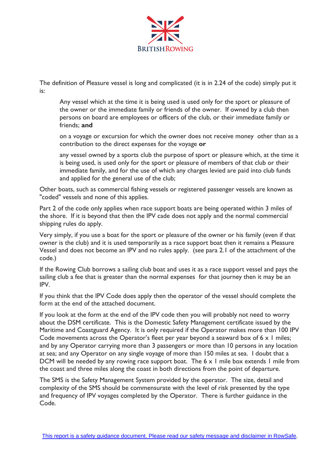

The definition of Pleasure vessel is long and complicated (it is in 2.24 of the code) simply put it is:

Any vessel which at the time it is being used is used only for the sport or pleasure of the owner or the immediate family or friends of the owner. If owned by a club then persons on board are employees or officers of the club, or their immediate family or friends; **and**

on a voyage or excursion for which the owner does not receive money other than as a contribution to the direct expenses for the voyage **or**

any vessel owned by a sports club the purpose of sport or pleasure which, at the time it is being used, is used only for the sport or pleasure of members of that club or their immediate family, and for the use of which any charges levied are paid into club funds and applied for the general use of the club;

Other boats, such as commercial fishing vessels or registered passenger vessels are known as "coded" vessels and none of this applies.

Part 2 of the code only applies when race support boats are being operated within 3 miles of the shore. If it is beyond that then the IPV cade does not apply and the normal commercial shipping rules do apply.

Very simply, if you use a boat for the sport or pleasure of the owner or his family (even if that owner is the club) and it is used temporarily as a race support boat then it remains a Pleasure Vessel and does not become an IPV and no rules apply. (see para 2.1 of the attachment of the code.)

If the Rowing Club borrows a sailing club boat and uses it as a race support vessel and pays the sailing club a fee that is greater than the normal expenses for that journey then it may be an IPV.

If you think that the IPV Code does apply then the operator of the vessel should complete the form at the end of the attached document.

If you look at the form at the end of the IPV code then you will probably not need to worry about the DSM certificate. This is the Domestic Safety Management certificate issued by the Maritime and Coastguard Agency. It is only required if the Operator makes more than 100 IPV Code movements across the Operator's fleet per year beyond a seaward box of 6 x 1 miles; and by any Operator carrying more than 3 passengers or more than 10 persons in any location at sea; and any Operator on any single voyage of more than 150 miles at sea. I doubt that a DCM will be needed by any rowing race support boat. The  $6 \times 1$  mile box extends 1 mile from the coast and three miles along the coast in both directions from the point of departure.

The SMS is the Safety Management System provided by the operator. The size, detail and complexity of the SMS should be commensurate with the level of risk presented by the type and frequency of IPV voyages completed by the Operator. There is further guidance in the Code.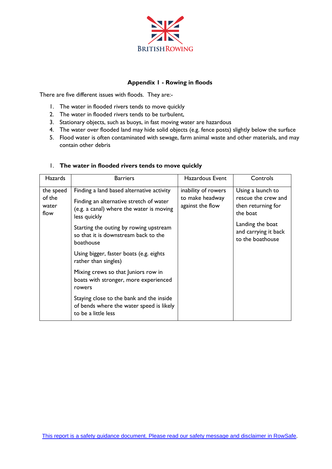

#### **Appendix 1 - Rowing in floods**

There are five different issues with floods. They are:-

- 1. The water in flooded rivers tends to move quickly
- 2. The water in flooded rivers tends to be turbulent,
- 3. Stationary objects, such as buoys, in fast moving water are hazardous
- 4. The water over flooded land may hide solid objects (e.g. fence posts) slightly below the surface
- 5. Flood water is often contaminated with sewage, farm animal waste and other materials, and may contain other debris

| <b>Hazards</b>                       | <b>Barriers</b>                                                                                                                                                                         | Hazardous Event     | Controls                                                                                                                                   |
|--------------------------------------|-----------------------------------------------------------------------------------------------------------------------------------------------------------------------------------------|---------------------|--------------------------------------------------------------------------------------------------------------------------------------------|
| the speed<br>of the<br>water<br>flow | Finding a land based alternative activity<br>to make headway<br>Finding an alternative stretch of water<br>against the flow<br>(e.g. a canal) where the water is moving<br>less quickly | inability of rowers | Using a launch to<br>rescue the crew and<br>then returning for<br>the boat<br>Landing the boat<br>and carrying it back<br>to the boathouse |
|                                      | Starting the outing by rowing upstream<br>so that it is downstream back to the<br>boathouse                                                                                             |                     |                                                                                                                                            |
|                                      | Using bigger, faster boats (e.g. eights<br>rather than singles)                                                                                                                         |                     |                                                                                                                                            |
|                                      | Mixing crews so that Juniors row in<br>boats with stronger, more experienced<br>rowers                                                                                                  |                     |                                                                                                                                            |
|                                      | Staying close to the bank and the inside<br>of bends where the water speed is likely<br>to be a little less                                                                             |                     |                                                                                                                                            |

#### 1. **The water in flooded rivers tends to move quickly**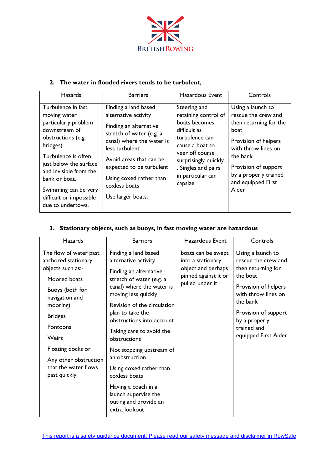

#### **2. The water in flooded rivers tends to be turbulent,**

| <b>Hazards</b>                                                                                                                                                                                                                                                                     | <b>Barriers</b>                                                                                                                                                                                                                                                           | <b>Hazardous Event</b>                                                                                                                                                                                         | Controls                                                                                                                                                                                                              |
|------------------------------------------------------------------------------------------------------------------------------------------------------------------------------------------------------------------------------------------------------------------------------------|---------------------------------------------------------------------------------------------------------------------------------------------------------------------------------------------------------------------------------------------------------------------------|----------------------------------------------------------------------------------------------------------------------------------------------------------------------------------------------------------------|-----------------------------------------------------------------------------------------------------------------------------------------------------------------------------------------------------------------------|
| Turbulence in fast<br>moving water<br>particularly problem<br>downstream of<br>obstructions (e.g.<br>bridges).<br>Turbulence is often<br>just below the surface<br>and invisible from the<br>bank or boat.<br>Swimming can be very<br>difficult or impossible<br>due to undertows. | Finding a land based<br>alternative activity<br>Finding an alternative<br>stretch of water (e.g. a<br>canal) where the water is<br>less turbulent<br>Avoid areas that can be<br>expected to be turbulent<br>Using coxed rather than<br>coxless boats<br>Use larger boats. | Steering and<br>retaining control of<br>boats becomes<br>difficult as<br>turbulence can<br>cause a boat to<br>veer off course<br>surprisingly quickly.<br>. Singles and pairs<br>in particular can<br>capsize. | Using a launch to<br>rescue the crew and<br>then returning for the<br>boat<br>Provision of helpers<br>with throw lines on<br>the bank<br>Provision of support<br>by a properly trained<br>and equipped First<br>Aider |

#### **3. Stationary objects, such as buoys, in fast moving water are hazardous**

| <b>Hazards</b>                                                                                                                                                                                                                                                    | <b>Barriers</b>                                                                                                                                                                                                                                                                                                                                                                                                                                      | <b>Hazardous Event</b>                                                                                   | Controls                                                                                                                                                                                                              |
|-------------------------------------------------------------------------------------------------------------------------------------------------------------------------------------------------------------------------------------------------------------------|------------------------------------------------------------------------------------------------------------------------------------------------------------------------------------------------------------------------------------------------------------------------------------------------------------------------------------------------------------------------------------------------------------------------------------------------------|----------------------------------------------------------------------------------------------------------|-----------------------------------------------------------------------------------------------------------------------------------------------------------------------------------------------------------------------|
| The flow of water past<br>anchored stationary<br>objects such as:-<br>Moored boats<br>Buoys (both for<br>navigation and<br>mooring)<br><b>Bridges</b><br>Pontoons<br>Weirs<br>Floating docks or<br>Any other obstruction<br>that the water flows<br>past quickly. | Finding a land based<br>alternative activity<br>Finding an alternative<br>stretch of water (e.g. a<br>canal) where the water is<br>moving less quickly<br>Revision of the circulation<br>plan to take the<br>obstructions into account<br>Taking care to avoid the<br>obstructions<br>Not stopping upstream of<br>an obstruction<br>Using coxed rather than<br>coxless boats<br>Having a coach in a<br>launch supervise the<br>outing and provide an | boats can be swept<br>into a stationary<br>object and perhaps<br>pinned against it or<br>pulled under it | Using a launch to<br>rescue the crew and<br>then returning for<br>the boat<br>Provision of helpers<br>with throw lines on<br>the bank<br>Provision of support<br>by a properly<br>trained and<br>equipped First Aider |
|                                                                                                                                                                                                                                                                   | extra lookout                                                                                                                                                                                                                                                                                                                                                                                                                                        |                                                                                                          |                                                                                                                                                                                                                       |

This report is a safety guidance [document.](https://www.britishrowing.org/wp-content/uploads/2018/04/Row-Safe-April-2018.pdf) Please read our safety message and disclaimer in RowSafe.